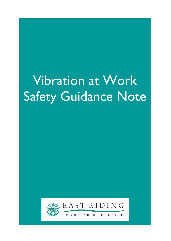# Vibration at Work Safety Guidance Note



Ξ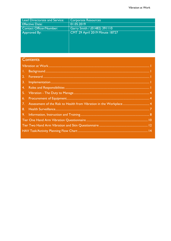| <b>Lead Directorate and Service:</b> | <b>Corporate Resources</b>            |
|--------------------------------------|---------------------------------------|
| <b>Effective Date:</b>               | 01.05.2019                            |
| <b>Contact Officer/Number:</b>       | Garry Smith / (01482) 391110          |
| Approved By:                         | <b>CMT 29 April 2019 Minute 18727</b> |
|                                      |                                       |
|                                      |                                       |
|                                      |                                       |
|                                      |                                       |

# Contents

| 1. |  |
|----|--|
| 2. |  |
| 3. |  |
| 4. |  |
|    |  |
| 6. |  |
| 7. |  |
| 8. |  |
|    |  |
|    |  |
|    |  |
|    |  |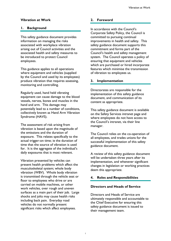#### Vibration at Work

#### 1. Background

This safety guidance document provides information on managing the risks associated with workplace vibration arising out of Council activities and the associated health and safety measures to be introduced to protect Council employees.

This guidance applies to all operations where equipment and vehicles (supplied by the Council and used by its employees) produce vibration that requires assessing, monitoring and controlling.

Regularly used, hand held vibrating equipment can cause damage to the blood vessels, nerves, bones and muscles in the hand and arm. This damage may potentially lead to a number of conditions, collectively known as Hand Arm Vibration Syndrome (HAVS).

The assessment of risk arising from vibration is based upon the magnitude of the emissions and the duration of exposure. This relates specifically to the actual trigger-on time; ie the duration of time that the source of vibration is used for. It is the aggregate of the individual's daily exposures that is most relevant.

Vibration presented by vehicles can present health problems which affect the musculoskeletal system; whole body vibration (WBV). Whole body vibration is transmitted through the vehicle seat or floor to employees who drive or are carried on mobile machines, or other work vehicles, over rough and uneven surfaces as a main part of their job. Large shocks and jolts may cause health risks including back pain. Everyday road vehicles do not normally present significant risks which affect employees.

#### 2. Foreword

In accordance with the Council's Corporate Safety Policy, the Council is committed to pursuing continual improvements in health and safety. This safety guidance document supports this commitment and forms part of the Council's health and safety management system. The Council operates a policy of ensuring that equipment and vehicles which are purchased or hired incorporate features which minimise the transmission of vibration to employees us.

#### 3. Implementation

Directorates are responsible for the implementation of this safety guidance document, and communication of its content as appropriate.

This safety guidance document is available on the Safety Services intranet page and where employees do not have access to the Council's intranet, via their line manager.

The Council relies on the co-operation of all employees, and trades unions for the successful implementation of this safety guidance document.

A review of this safety guidance document will be undertaken three years after its implementation, and whenever significant changes in legislation or working practices deem this appropriate.

#### 4. Roles and Responsibilities

#### Directors and Heads of Service

Directors and Heads of Service are ultimately responsible and accountable to the Chief Executive for ensuring this safety guidance document is issued to their management team.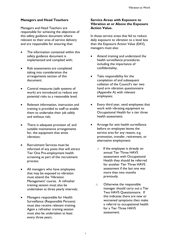#### Managers and Head Teachers

Managers and Head Teachers are responsible for achieving the objectives of this safety guidance document where relevant to their area of service delivery and are responsible for ensuring that:

- The information contained within this safety guidance document is implemented and complied with;
- Risk assessments are completed taking into consideration the arrangements section of this document;
- Control measures (safe systems of work) are introduced to reduce any potential risks to a reasonable level;
- Relevant information, instruction and training is provided to staff to enable them to undertake their job safely and without risk;
- There is adequate provision of, and suitable maintenance arrangements for, the equipment that emits vibration;
- Recruitment Services must be informed of any posts that will attract Tier One Pre-employment health screening as part of the recruitment process;
- All managers who have employees that may be exposed to vibration must attend the 'Vibration Management' course. A refresher training session must also be undertaken at three yearly intervals;
- Managers responsible for Health Surveillance (Responsible Persons) must also receive relevant training. Again a refresher training session must also be undertaken at least every three years.

#### Service Areas with Exposure to Vibration at or Above the Exposure Action Value.

In those service areas that fail to reduce daily exposure to vibration to a level less than the Exposure Action Value (EAV), managers must also:

- Attend training and understand the health surveillance procedures including the importance of confidentiality;
- Take responsibility for the completion of and subsequent collation of the Council's tier two hand arm vibration questionnaire (Appendix A) with relevant employees;
- Every third year, send employees that work with vibrating equipment to Occupational Health for a tier three health assessment;
- Arrange for exit health surveillance before an employee leaves the service area for any reason, e.g. promotion, transfer, retirement, or alternative employment:
	- o If the employee is already on annual Tier Three HAVS assessment with Occupational Health they should be referred for another Tier Three HAVS assessment if the last one was more than two months previously.
	- o Otherwise the responsible manager should carry out a Tier Two HAVS Questionnaire. If this indicates there are new or worsened symptoms then make a referral to occupational health for a Tier Three HAVS assessment.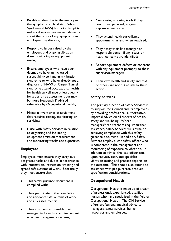- Be able to describe to the employee the symptoms of Hand Arm Vibration Syndrome (HAVS) but not attempt to make a diagnosis nor make judgments about the cause of any symptoms an employee may disclose;
- Respond to issues raised by the employees and ongoing vibration dose monitoring or equipment testing;
- Ensure employees who have been deemed to have an increased susceptibility to hand arm vibration syndrome or who have already got a diagnosis of HAVS or Carpel Tunnel syndrome attend occupational health for health surveillance at least yearly for a tier three assessment but may be more frequently if advised otherwise by Occupational Health;
- Maintain inventories of equipment that requires testing, monitoring or servicing;
- Liaise with Safety Services in relation to organising and facilitating equipment emission measurement and monitoring workplace exposures.

#### Employees

Employees must ensure they carry out designated tasks and duties in accordance with information, instruction, training and agreed safe systems of work. Specifically they must ensure that:

- This safety guidance document is complied with;
- They participate in the completion and review of safe systems of work and risk assessments;
- They co-operate to enable their manager to formulate and implement effective management systems;
- Cease using vibrating tools if they reach their personal, assigned exposure limit value.
- They attend health surveillance appointments as and when required;
- They notify their line manager or responsible person if any issues or health concerns are identified;
- Report equipment defects or concerns with any equipment promptly to their supervisor/manager;
- Their own health and safety and that of others are not put at risk by their actions.

#### Safety Services

The primary function of Safety Services is to support the Council and its employees by providing professional, authoritative, impartial advice on all aspects of health, safety and wellbeing. Where managers/head teachers require further assistance, Safety Services will advise on achieving compliance with this safety guidance document. In addition, Safety Services employ a lead safety officer who is competent in the management and monitoring of exposure to vibration. In addition to advice, the lead officer can, upon request, carry out specialist vibration testing and prepare reports on the outcome. This should also extend to assistance with pre-purchase product specification considerations.

#### Occupational Health

Occupational Health is made up of a team of professional, experienced, qualified nurses who have specialised in the field of Occupational Health. The OH Service offers professional medical advice to managers, safety services, human resources and employees.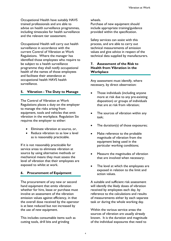Occupational Health have suitably HAVS trained professionals and are able to advise on health surveillance programmes, including timescales for health surveillance and the relevant tier assessment.

Occupational Health will carry out health surveillance in accordance with the current Control of Vibration at Work Regulations. Where the manager has identified those employees who require to be subject to a health surveillance programme they shall notify occupational health of the names of those employees and facilitate their attendance at occupational health HAVS health surveillance.

#### 5. Vibration - The Duty to Manage

The Control of Vibration at Work Regulations places a duty on the employer to manage the risks arising from equipment, tools and vehicles that emit vibration in the workplace. Regulation Six requires the employer to either:

- Eliminate vibration at source, or,
- Reduce vibration to as low a level as is reasonably practicable.

If it is not reasonably practicable for service areas to eliminate vibration at source by using alternative methods or mechanical means they must assess the level of vibration that their employees are exposed to whilst at work.

#### 6. Procurement of Equipment

The procurement of any new or second hand equipment that emits vibration whether for hire, lease or purchase must involve an assessment of the vibration emission values against efficiency, in that the overall dose received by the operator is at best reduced but not increased by the use of new equipment.

This includes consumable items such as cutting tools, drill bits and grinding

wheels.

Purchase of new equipment should include appropriate training/guidance provided within the specification.

Safety services can assist with this process, and are able to carry out technical measurements of emission values and give advice in respect of the technical data supplied by manufacturers.

#### 7. Assessment of the Risk to Health from Vibration in the **Workplace**

Any assessment must identify, where necessary, by direct observation:

- Those individuals (including anyone more at risk due to any pre-existing disposition) or groups of individuals that are at risk from vibration;
- The sources of vibration within any task;
- The duration(s) of those exposures;
- Make reference to the probable magnitude of vibration from the equipment being used in the particular working conditions;
- Measure the magnitudes of vibration that are involved when necessary;
- The level at which the employees are exposed in relation to the limit and action values.

A suitable and sufficient risk assessment will identify the likely doses of vibration received by employees each day, by reference to the calculations and results of measurements either by each separate task or during the whole working day.

Within the various service areas the sources of vibration are usually already known. It is the duration and magnitude of the individual exposures that need to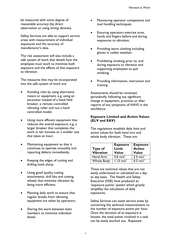be measured with some degree of reasonable accuracy (by direct observation or using timing devices).

Safety Services are able to support service areas with measurement of individual exposures and the accuracy of manufacturer's data.

The risk assessment will also include a safe system of work that details how the employee must work to minimise both exposure and the effects of that exposure to vibration.

The measures that may be incorporated into the safe system of work are:

- Avoiding risks by using alternative means or equipment, e.g. using an excavator instead of a hand held breaker, a remote controlled vibrating roller and not a hand controlled model;
- Using more efficient equipment that reduces the overall exposure, e.g. a larger breaker that completes the work in ten minutes or a smaller one that takes an hour;
- Maintaining equipment so that it continues to operate smoothly and reporting defects immediately;
- Keeping the edges of cutting and drilling tools sharp;
- Using good quality cutting attachments, drill bits and cutting wheels that minimise vibration by being more efficient;
- Planning daily work to ensure that regular breaks from vibrating equipment are taken by operators;
- Sharing the work between team members to minimise individual doses;
- Monitoring operator competence and tool handling techniques;
- Ensuring operators exercise arms, hands and fingers before and during exposures to vibration;
- Providing warm clothing including gloves in colder weather;
- Prohibiting smoking prior to, and during exposure to vibration and supporting employees to quit smoking;
- Providing information, instruction and training.

Assessments should be reviewed, periodically, following any significant change in equipment, practices or after reports of any symptoms of HAVS in the workforce.

#### Exposure Limited and Action Values (ELV and EAV)

The regulations establish daily limit and action values for both hand arm and whole body vibration. These are:

| Type of<br><b>Vibration</b> | <b>Exposure</b><br>Limit<br><b>Value</b> | <b>Exposure</b><br><b>Action</b><br><b>Value</b> |
|-----------------------------|------------------------------------------|--------------------------------------------------|
| Hand Arm                    | 5.0 $m/s^2$                              | $2.5 \text{ m/s}^2$                              |
| <b>Whole Body</b>           | $1.15 \text{ m/s}^2$                     | $0.5 \text{ m/s}^2$                              |

These are technical values that are not easily understood or calculated on a day to day basis. The Health and Safety Executive (HSE) have produced an 'exposure points' system which greatly simplifies the calculation of daily exposures.

Safety Services can assist service areas by converting the technical measurements to the number of exposure points per hour. Once the duration of an exposure is known, the total points involved in a task can be easily worked out. Repeated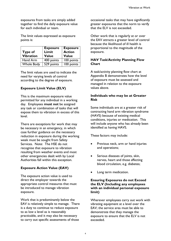exposures from tasks are simply added together to find the daily exposure value for each individual or team.

The limit values expressed as exposure points is:

| Type of<br><b>Vibration</b> | <b>Exposure</b><br>Limit<br><b>Value</b> | <b>Exposure</b><br><b>Action</b><br><b>Value</b> |
|-----------------------------|------------------------------------------|--------------------------------------------------|
| Hand Arm                    | 400 points                               | 100 points                                       |
| <b>Whole Body</b>           | 529 points                               | 100 points                                       |

The limit values are used to indicate the need for varying levels of control according to the degree of exposure.

#### Exposure Limit Value (ELV)

This is the maximum exposure value permitted for any individual in a working day. Employees must not be assigned any task or combination of tasks that will expose them to vibration in excess of this level.

There are exceptions for work that may be necessary in an emergency, in which case further guidance on the necessary reduction in exposure during the working week must be sought from Safety Services. Note: The HSE do not recognise that exposure to vibration resulting from weather events and most other emergencies dealt with by Local Authorities fall within this exception.

#### Exposure Action Value (EAV)

The exposure action value is used to direct the employer towards the appropriate control measures that must be introduced to manage vibration exposure.

Work that is predominantly below the EAV is relatively simple to manage. There is a duty to continue to reduce exposure to as low a level as is reasonably practicable, and it may also be necessary to carry out specific assessments of those

occasional tasks that may have significantly greater exposures that the norm to verify that the ELV is not exceeded.

Other work that is regularly at or over the EAV attracts a greater level of control because the likelihood of ill health is proportional to the magnitude of the exposure.

#### HAV Task/Activity Planning Flow **Chart**

A task/activity planning flow chart at Appendix B demonstrates how the level of exposure must be assessed and managed in relation to the exposure values above.

#### Individuals who may be at Greater Risk

Some individuals are at a greater risk of contracting hand arm vibration syndrome (HAVS) because of existing medical conditions, injuries or medication. This will include anyone who has already been identified as having HAVS.

These factors may include:

- Previous neck, arm or hand injuries and operations;
- Serious diseases of joints, skin, nerves, heart and those affecting blood circulation, e.g. diabetes;
- Long term medication.

#### Ensuring Exposures do not Exceed the ELV (Including any employees with an individual personal exposure limit)

Wherever employees carry out work with vibrating equipment at a level over the EAV; the service area must be able to demonstrate that they manage the exposure to ensure that the ELV is not exceeded.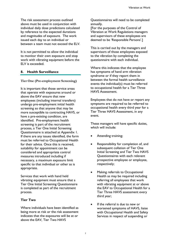The risk assessment process outlined above must be used in conjunction with individual daily dose predictions calculated by reference to the expected durations and magnitudes of exposure. The work issued each day to an individual or between a team must not exceed the ELV.

It is not permitted to allow the individual to monitor their own exposure and stop work with vibrating equipment before the ELV is exceeded.

#### 8. Health Surveillance

#### Tier One (Pre-employment Screening)

It is important that those service areas that operate with exposures around or above the EAV ensure that new employees (including internal transfers) undergo pre-employment initial health screening so that anyone that may be more susceptible to contracting HAVS, or have a pre-existing condition, are identified. Pre-employment health screening is part of the recruitment process, a Tier One Initial Screening Questionnaire is attached at Appendix 1. If there are any issues identified, the form must be referred to Occupational Health for their advice. Once this is received, suitability for appointment can be considered and appropriate control measures introduced including if necessary, a maximum exposure limit specific to that individual or other as is appropriate.

Services that work with hand held vibrating equipment must ensure that a Tier One Initial Screening Questionnaire is completed as part of the recruitment process.

#### Tier Two

Where individuals have been identified as being more at risk or the risk assessment indicates that the exposures will be at or above the EAV, Tier Two HAVS

Questionnaires will need to be completed annually.

[For the purposes of the Control of Vibration at Work Regulations managers and supervisors of these employees are deemed to be 'Responsible Persons'.]

This is carried out by the managers and supervisors of those employees exposed to the vibration by completing the questionnaire with each individual.

Where this indicates that the employee has symptoms of hand arm vibration syndrome or if they report them in between the formal health surveillance events the individual(s) must be referred to occupational health for a Tier Three HAVS Assessment.

Employees that do not have or report any symptoms are required to be referred to occupational health every third year for a Tier Three HAVS Assessment, in any event.

These managers will have specific duties, which will include:

- Attending training;
- Responsibility for completion of, and subsequent collation of Tier One Initial Screening and Tier Two HAVS Questionnaires with each relevant prospective employee or employee, respectively;
- Making referrals to Occupational Health as may be required including referring all employees that work with vibrating equipment at or above the EAV to Occupational Health for a Tier Three HAVS assessment every third year;
- If the referral is due to new or worsened symptoms of HAVS, liaise with Occupational Health and Safety Services in respect of suspending or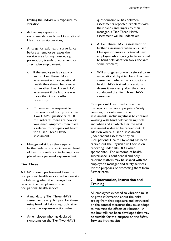limiting the individual's exposure to vibration;

- Act on any reports or recommendations from Occupational Health or Safety Services;
- Arrange for exit health surveillance before an employee leaves the service area for any reason, e.g. promotion, transfer, retirement, or alternative employment:
	- o If the employee is already on annual Tier Three HAVS assessment with occupational health they should be referred for another Tier Three HAVS assessment if the last one was more than two months previously.
	- o Otherwise the responsible manager should carry out a Tier Two HAVS Questionnaire. If this indicates there are new or worsened symptoms then make a referral to occupational health for a Tier Three HAVS assessment.
- Manage individuals that require further referrals or an increased level of health surveillance, including those placed on a personal exposure limit.

#### Tier Three

A HAVS trained professional from the occupational health service will undertake the following when the manager has referred their employee to the occupational health service:

- A mandatory Tier Three HAVS assessment every 3rd year for those using hand held vibrating tools at or above the exposure action value;
- An employee who has declared symptoms on the Tier Two HAVS

questionnaire or has between assessments reported problems with their hands and fingers to their manager, a Tier Three HAVS assessment will be undertaken;

- A Tier Three HAVS assessment or further assessment when on a Tier One questionnaire a potential new employee who is going to be exposed to hand held vibration tools declares some problem;
- Will arrange an onward referral to an occupational physician for a Tier Four assessment where the occupational health HAVS trained professional deems it necessary after they have conducted the Tier Three HAVS assessment.

Occupational Health will advise the manager and where appropriate Safety Services, the outcome of their assessments; including fitness to continue working with hand held vibrating tools and when and at which Tier the next assessment is due to be carried out. In addition where a Tier 4 assessment (Independent assessment by an Occupational Health Physician) has been carried out the Physician will advise on reporting under RIDDOR when appropriate. The outcome of health surveillance is confidential and only relevant matters may be shared with the employee's manager and safety services for the purposes of protecting them from further harm.

#### 9. Information, Instruction and **Training**

All employees exposed to vibration must be given information about the risks arising from that exposure and instructed on the control measures they must adopt to minimise the effects of vibration. A toolbox talk has been developed that may be suitable for this purpose on the Safety Services intranet site -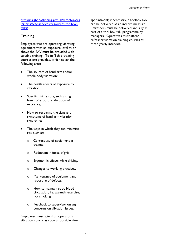http://insight.eastriding.gov.uk/directorates /cr/hr/safety-services/resources/toolboxtalks/

#### **Training**

Employees that are operating vibrating equipment with an exposure level at or above the EAV must be provided with suitable training. To fulfil this, training courses are provided, which cover the following areas:

- The sources of hand arm and/or whole body vibration;
- The health effects of exposure to vibration;
- Specific risk factors, such as high levels of exposure, duration of exposure;
- How to recognise the signs and symptoms of hand arm vibration syndrome;
- The ways in which they can minimise risk such as:
	- o Correct use of equipment as trained.
	- o Reduction in force of grip.
	- o Ergonomic effects while driving.
	- o Changes to working practices.
	- o Maintenance of equipment and reporting of defects.
	- o How to maintain good blood circulation, i.e. warmth, exercise, not smoking.
	- o Feedback to supervisor on any concerns on vibration issues.

Employees must attend an operator's vibration course as soon as possible after appointment; if necessary, a toolbox talk can be delivered as an interim measure. Refreshers must be delivered annually as part of a tool box talk programme by managers. Operatives must attend refresher vibration training courses at three yearly intervals.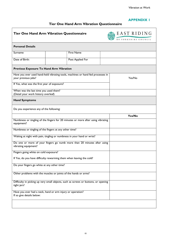#### APPENDIX 1

## Tier One Hand Arm Vibration Questionnaire

| <b>Tier One Hand Arm Vibration Questionnaire</b>                                                |  |                                                                                    |  | EAST RIDING<br>OF YORKSHIRE COUNCIL |
|-------------------------------------------------------------------------------------------------|--|------------------------------------------------------------------------------------|--|-------------------------------------|
| <b>Personal Details</b>                                                                         |  |                                                                                    |  |                                     |
| Surname                                                                                         |  | <b>First Name</b>                                                                  |  |                                     |
| Date of Birth:                                                                                  |  | Post Applied For                                                                   |  |                                     |
| Previous Exposure To Hand Arm Vibration                                                         |  |                                                                                    |  |                                     |
| your previous jobs?                                                                             |  | Have you ever used hand-held vibrating tools, machines or hand fed processes in    |  | Yes/No                              |
| If Yes, what was the first year of exposure?                                                    |  |                                                                                    |  |                                     |
| When was the last time you used them?<br>(Detail your work history overleaf)                    |  |                                                                                    |  |                                     |
| <b>Hand Symptoms</b>                                                                            |  |                                                                                    |  |                                     |
| Do you experience any of the following:                                                         |  |                                                                                    |  |                                     |
|                                                                                                 |  |                                                                                    |  | Yes/No                              |
| equipment?                                                                                      |  | Numbness or tingling of the fingers for 20 minutes or more after using vibrating   |  |                                     |
| Numbness or tingling of the fingers at any other time?                                          |  |                                                                                    |  |                                     |
| Waking at night with pain, tingling or numbness in your hand or wrist?                          |  |                                                                                    |  |                                     |
| Do one or more of your fingers go numb more than 20 minutes after using<br>vibrating equipment? |  |                                                                                    |  |                                     |
| Fingers going white on cold exposure?                                                           |  |                                                                                    |  |                                     |
| If Yes, do you have difficulty rewarming them when leaving the cold?                            |  |                                                                                    |  |                                     |
| Do your fingers go white at any other time?                                                     |  |                                                                                    |  |                                     |
| Other problems with the muscles or joints of the hands or arms?                                 |  |                                                                                    |  |                                     |
| tight jars?                                                                                     |  | Difficulty in picking up very small objects, such as screws or buttons, or opening |  |                                     |
| Have you ever had a neck, hand or arm injury or operation?<br>If so give details below:         |  |                                                                                    |  |                                     |
|                                                                                                 |  |                                                                                    |  |                                     |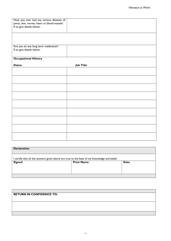| Have you ever had any serious diseases of     |                  |
|-----------------------------------------------|------------------|
| joints, skin, nerves, heart or blood vessels? |                  |
| If so give details below:                     |                  |
|                                               |                  |
|                                               |                  |
|                                               |                  |
|                                               |                  |
|                                               |                  |
|                                               |                  |
| Are you on any long term medication?          |                  |
| If so give details below:                     |                  |
|                                               |                  |
| <b>Occupational History</b>                   |                  |
|                                               |                  |
| Dates:                                        | <b>Job Title</b> |
|                                               |                  |
|                                               |                  |
|                                               |                  |
|                                               |                  |
|                                               |                  |
|                                               |                  |
|                                               |                  |
|                                               |                  |
|                                               |                  |
|                                               |                  |
|                                               |                  |
|                                               |                  |
|                                               |                  |
|                                               |                  |
|                                               |                  |
|                                               |                  |
|                                               |                  |
|                                               |                  |
|                                               |                  |
|                                               |                  |
|                                               |                  |
|                                               |                  |
|                                               |                  |

| <b>Declaration</b>                                                                          |                   |      |  |
|---------------------------------------------------------------------------------------------|-------------------|------|--|
| I certify that all the answers given above are true to the best of my knowledge and belief. |                   |      |  |
| <b>Signed</b>                                                                               | <b>Print Name</b> | Date |  |
|                                                                                             |                   |      |  |
|                                                                                             |                   |      |  |

| <b>RETURN IN CONFIDENCE TO:</b> |  |
|---------------------------------|--|
|                                 |  |
|                                 |  |
|                                 |  |
|                                 |  |
|                                 |  |
|                                 |  |
|                                 |  |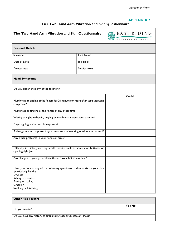#### APPENDIX 2

## Tier Two Hand Arm Vibration and Skin Questionnaire

| Tier Two Hand Arm Vibration and Skin Questionnaire                                                                                                                                                     |                                                                                  |                   | EAST RIDING<br>OF YORKSHIRE COUNCIL |
|--------------------------------------------------------------------------------------------------------------------------------------------------------------------------------------------------------|----------------------------------------------------------------------------------|-------------------|-------------------------------------|
| <b>Personal Details</b>                                                                                                                                                                                |                                                                                  |                   |                                     |
| Surname                                                                                                                                                                                                |                                                                                  | <b>First Name</b> |                                     |
| Date of Birth:                                                                                                                                                                                         |                                                                                  | Job Title:        |                                     |
| Directorate:                                                                                                                                                                                           |                                                                                  | Service Area      |                                     |
| <b>Hand Symptoms</b>                                                                                                                                                                                   |                                                                                  |                   |                                     |
| Do you experience any of the following:                                                                                                                                                                |                                                                                  |                   |                                     |
|                                                                                                                                                                                                        |                                                                                  |                   | Yes/No                              |
| equipment?                                                                                                                                                                                             | Numbness or tingling of the fingers for 20 minutes or more after using vibrating |                   |                                     |
| Numbness or tingling of the fingers at any other time?                                                                                                                                                 |                                                                                  |                   |                                     |
| Waking at night with pain, tingling or numbness in your hand or wrist?                                                                                                                                 |                                                                                  |                   |                                     |
| Fingers going white on cold exposure?                                                                                                                                                                  |                                                                                  |                   |                                     |
| A change in your response to your tolerance of working outdoors in the cold?                                                                                                                           |                                                                                  |                   |                                     |
| Any other problems in your hands or arms?                                                                                                                                                              |                                                                                  |                   |                                     |
| opening tight jars?                                                                                                                                                                                    | Difficulty in picking up very small objects, such as screws or buttons, or       |                   |                                     |
|                                                                                                                                                                                                        | Any changes to your general health since your last assessment?                   |                   |                                     |
| Have you noticed any of the following symptoms of dermatitis on your skin<br>(particularly hands):<br><b>Dryness</b><br>Itching or redness<br>Flaking or scaling<br>Cracking<br>Swelling or blistering |                                                                                  |                   |                                     |
| <b>Other Risk Factors</b>                                                                                                                                                                              |                                                                                  |                   |                                     |

|                                                                     | Yes/No |
|---------------------------------------------------------------------|--------|
| Do you smoke?                                                       |        |
| Do you have any history of circulatory/vascular disease or illness? |        |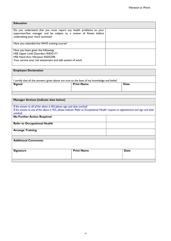| <b>Education</b>                                                                                                                                                                |  |
|---------------------------------------------------------------------------------------------------------------------------------------------------------------------------------|--|
| Do you understand that you must report any health problems to your<br>supervisor/line manager and be subject to a review of fitness before<br>undertaking your work activities? |  |
| Have you attended the HAVS training course?                                                                                                                                     |  |
| Have you been given the following:<br>HSE Upper Limb Disorders INDG171<br><b>HSE Hand Arm Vibration INDG296</b><br>Your service area risk assessment and safe system of work    |  |

| <b>Employee Declaration</b>                                                                 |                   |      |  |
|---------------------------------------------------------------------------------------------|-------------------|------|--|
| I certify that all the answers given above are true to the best of my knowledge and belief. |                   |      |  |
| <b>Signed</b>                                                                               | <b>Print Name</b> | Date |  |
|                                                                                             |                   |      |  |

| <b>Manager Actions (indicate date below)</b>                                                                                      |                   |  |             |
|-----------------------------------------------------------------------------------------------------------------------------------|-------------------|--|-------------|
| If the answer to all of the above is NO please sign and date overleaf.                                                            |                   |  |             |
| If the answer to any of the above is YES, please indicate 'Refer to Occupational Health' request an appointment and sign and date |                   |  |             |
| overleaf.                                                                                                                         |                   |  |             |
| <b>No Further Action Required</b>                                                                                                 |                   |  |             |
| <b>Refer to Occupational Health</b>                                                                                               |                   |  |             |
| <b>Arrange Training</b>                                                                                                           |                   |  |             |
|                                                                                                                                   |                   |  |             |
| <b>Additional Comments</b>                                                                                                        |                   |  |             |
| <b>Signature</b>                                                                                                                  | <b>Print Name</b> |  | <b>Date</b> |
|                                                                                                                                   |                   |  |             |